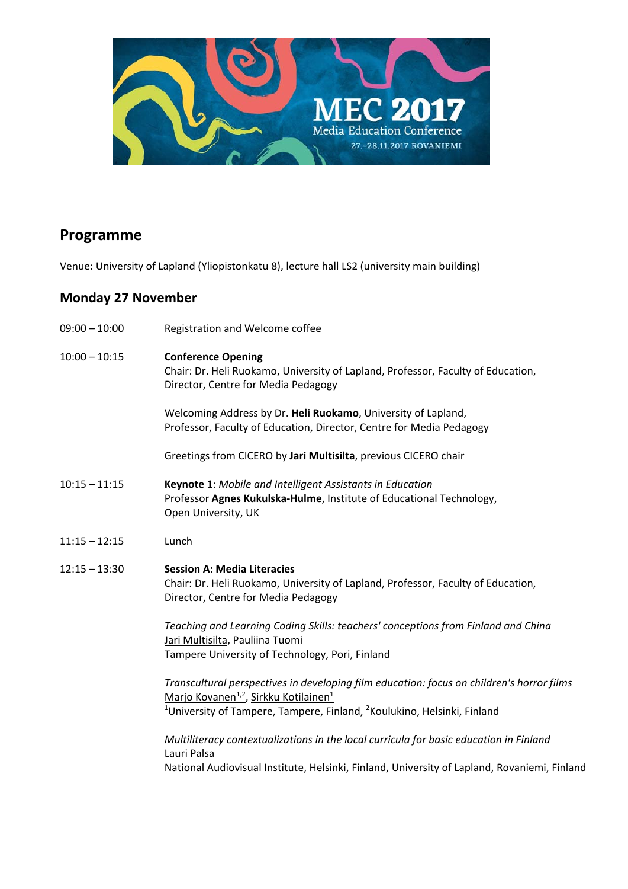

# **Programme**

Venue: University of Lapland (Yliopistonkatu 8), lecture hall LS2 (university main building)

# **Monday 27 November**

| $09:00 - 10:00$ | Registration and Welcome coffee                                                                                                                                                                                                                               |
|-----------------|---------------------------------------------------------------------------------------------------------------------------------------------------------------------------------------------------------------------------------------------------------------|
| $10:00 - 10:15$ | <b>Conference Opening</b><br>Chair: Dr. Heli Ruokamo, University of Lapland, Professor, Faculty of Education,<br>Director, Centre for Media Pedagogy                                                                                                          |
|                 | Welcoming Address by Dr. Heli Ruokamo, University of Lapland,<br>Professor, Faculty of Education, Director, Centre for Media Pedagogy                                                                                                                         |
|                 | Greetings from CICERO by Jari Multisilta, previous CICERO chair                                                                                                                                                                                               |
| $10:15 - 11:15$ | Keynote 1: Mobile and Intelligent Assistants in Education<br>Professor Agnes Kukulska-Hulme, Institute of Educational Technology,<br>Open University, UK                                                                                                      |
| $11:15 - 12:15$ | Lunch                                                                                                                                                                                                                                                         |
| $12:15 - 13:30$ | <b>Session A: Media Literacies</b><br>Chair: Dr. Heli Ruokamo, University of Lapland, Professor, Faculty of Education,<br>Director, Centre for Media Pedagogy                                                                                                 |
|                 | Teaching and Learning Coding Skills: teachers' conceptions from Finland and China<br>Jari Multisilta, Pauliina Tuomi<br>Tampere University of Technology, Pori, Finland                                                                                       |
|                 | Transcultural perspectives in developing film education: focus on children's horror films<br>Marjo Kovanen <sup>1,2</sup> , Sirkku Kotilainen <sup>1</sup><br><sup>1</sup> University of Tampere, Tampere, Finland, <sup>2</sup> Koulukino, Helsinki, Finland |
|                 | Multiliteracy contextualizations in the local curricula for basic education in Finland<br>Lauri Palsa<br>National Audiovisual Institute, Helsinki, Finland, University of Lapland, Rovaniemi, Finland                                                         |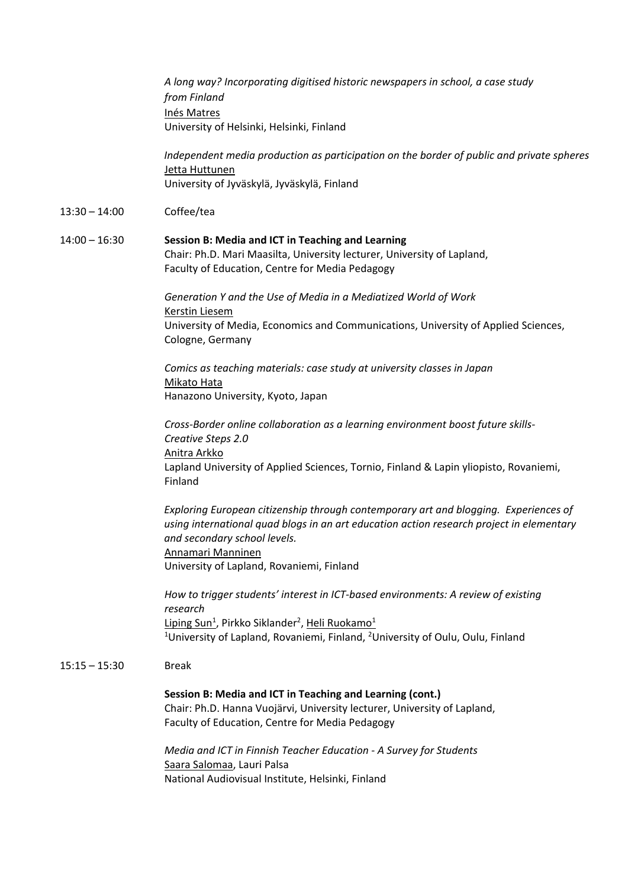*A long way? Incorporating digitised historic newspapers in school, a case study from Finland* Inés Matres University of Helsinki, Helsinki, Finland

*Independent media production as participation on the border of public and private spheres* Jetta Huttunen University of Jyväskylä, Jyväskylä, Finland

### 13:30 – 14:00 Coffee/tea

### 14:00 – 16:30 **Session B: Media and ICT in Teaching and Learning** Chair: Ph.D. Mari Maasilta, University lecturer, University of Lapland, Faculty of Education, Centre for Media Pedagogy

*Generation Y and the Use of Media in a Mediatized World of Work*  Kerstin Liesem University of Media, Economics and Communications, University of Applied Sciences, Cologne, Germany

*Comics as teaching materials: case study at university classes in Japan* Mikato Hata Hanazono University, Kyoto, Japan

*Cross‐Border online collaboration as a learning environment boost future skills‐ Creative Steps 2.0*  Anitra Arkko Lapland University of Applied Sciences, Tornio, Finland & Lapin yliopisto, Rovaniemi, Finland

*Exploring European citizenship through contemporary art and blogging. Experiences of using international quad blogs in an art education action research project in elementary and secondary school levels.*  Annamari Manninen University of Lapland, Rovaniemi, Finland

*How to trigger students' interest in ICT‐based environments: A review of existing research* Liping Sun<sup>1</sup>, Pirkko Siklander<sup>2</sup>, Heli Ruokamo<sup>1</sup> <sup>1</sup>University of Lapland, Rovaniemi, Finland, <sup>2</sup>University of Oulu, Oulu, Finland

### 15:15 – 15:30 Break

### **Session B: Media and ICT in Teaching and Learning (cont.)**

Chair: Ph.D. Hanna Vuojärvi, University lecturer, University of Lapland, Faculty of Education, Centre for Media Pedagogy

*Media and ICT in Finnish Teacher Education ‐ A Survey for Students* Saara Salomaa, Lauri Palsa National Audiovisual Institute, Helsinki, Finland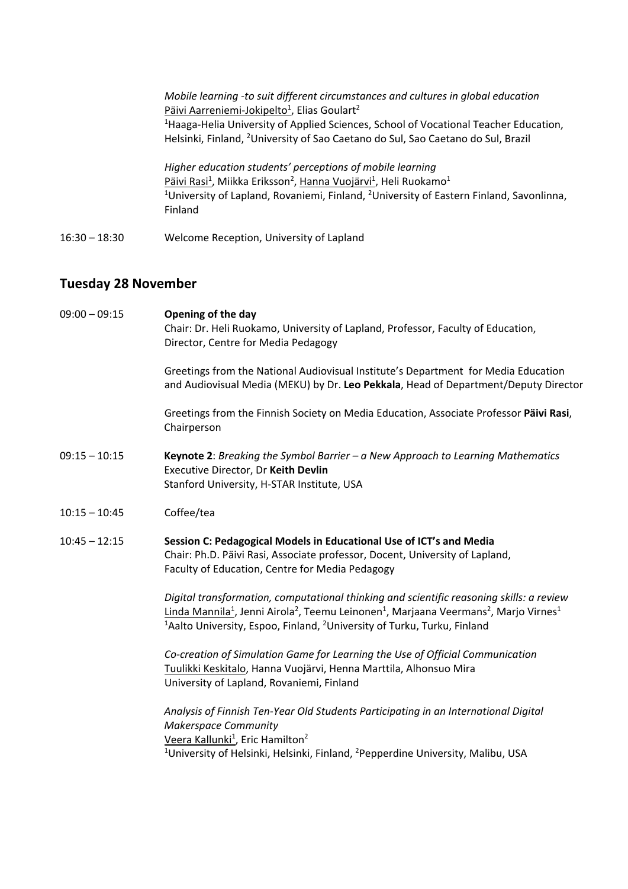|               | Mobile learning -to suit different circumstances and cultures in global education<br>Päivi Aarreniemi-Jokipelto <sup>1</sup> , Elias Goulart <sup>2</sup><br><sup>1</sup> Haaga-Helia University of Applied Sciences, School of Vocational Teacher Education,<br>Helsinki, Finland, <sup>2</sup> University of Sao Caetano do Sul, Sao Caetano do Sul, Brazil |
|---------------|---------------------------------------------------------------------------------------------------------------------------------------------------------------------------------------------------------------------------------------------------------------------------------------------------------------------------------------------------------------|
|               | Higher education students' perceptions of mobile learning<br>Päivi Rasi <sup>1</sup> , Miikka Eriksson <sup>2</sup> , Hanna Vuojärvi <sup>1</sup> , Heli Ruokamo <sup>1</sup><br><sup>1</sup> University of Lapland, Rovaniemi, Finland, <sup>2</sup> University of Eastern Finland, Savonlinna,<br>Finland                                                   |
| 16:30 – 18:30 | Welcome Reception, University of Lapland                                                                                                                                                                                                                                                                                                                      |

# **Tuesday 28 November**

| $09:00 - 09:15$ | Opening of the day<br>Chair: Dr. Heli Ruokamo, University of Lapland, Professor, Faculty of Education,<br>Director, Centre for Media Pedagogy                                                                                                                                                                                                    |
|-----------------|--------------------------------------------------------------------------------------------------------------------------------------------------------------------------------------------------------------------------------------------------------------------------------------------------------------------------------------------------|
|                 | Greetings from the National Audiovisual Institute's Department for Media Education<br>and Audiovisual Media (MEKU) by Dr. Leo Pekkala, Head of Department/Deputy Director                                                                                                                                                                        |
|                 | Greetings from the Finnish Society on Media Education, Associate Professor Päivi Rasi,<br>Chairperson                                                                                                                                                                                                                                            |
| $09:15 - 10:15$ | <b>Keynote 2:</b> Breaking the Symbol Barrier $-a$ New Approach to Learning Mathematics<br>Executive Director, Dr Keith Devlin<br>Stanford University, H-STAR Institute, USA                                                                                                                                                                     |
| $10:15 - 10:45$ | Coffee/tea                                                                                                                                                                                                                                                                                                                                       |
| $10:45 - 12:15$ | Session C: Pedagogical Models in Educational Use of ICT's and Media<br>Chair: Ph.D. Päivi Rasi, Associate professor, Docent, University of Lapland,<br>Faculty of Education, Centre for Media Pedagogy                                                                                                                                           |
|                 | Digital transformation, computational thinking and scientific reasoning skills: a review<br>Linda Mannila <sup>1</sup> , Jenni Airola <sup>2</sup> , Teemu Leinonen <sup>1</sup> , Marjaana Veermans <sup>2</sup> , Marjo Virnes <sup>1</sup><br><sup>1</sup> Aalto University, Espoo, Finland, <sup>2</sup> University of Turku, Turku, Finland |
|                 | Co-creation of Simulation Game for Learning the Use of Official Communication<br>Tuulikki Keskitalo, Hanna Vuojärvi, Henna Marttila, Alhonsuo Mira<br>University of Lapland, Rovaniemi, Finland                                                                                                                                                  |
|                 | Analysis of Finnish Ten-Year Old Students Participating in an International Digital<br><b>Makerspace Community</b><br>Veera Kallunki <sup>1</sup> , Eric Hamilton <sup>2</sup><br><sup>1</sup> University of Helsinki, Helsinki, Finland, <sup>2</sup> Pepperdine University, Malibu, USA                                                        |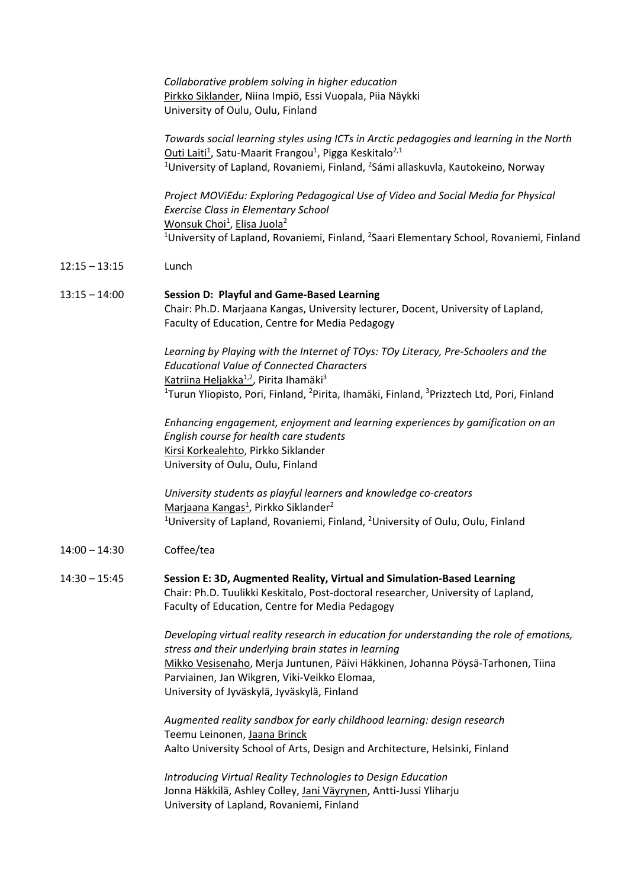*Collaborative problem solving in higher education* Pirkko Siklander, Niina Impiö, Essi Vuopala, Piia Näykki University of Oulu, Oulu, Finland

*Towards social learning styles using ICTs in Arctic pedagogies and learning in the North* Outi Laiti<sup>1</sup>, Satu-Maarit Frangou<sup>1</sup>, Pigga Keskitalo<sup>2,1</sup> <sup>1</sup>University of Lapland, Rovaniemi, Finland, <sup>2</sup>Sámi allaskuvla, Kautokeino, Norway

 *Project MOViEdu: Exploring Pedagogical Use of Video and Social Media for Physical Exercise Class in Elementary School* Wonsuk Choi<sup>1</sup>, Elisa Juola<sup>2</sup> <sup>1</sup>University of Lapland, Rovaniemi, Finland, <sup>2</sup>Saari Elementary School, Rovaniemi, Finland

- 12:15 13:15 Lunch
- 13:15 14:00 **Session D: Playful and Game‐Based Learning** Chair: Ph.D. Marjaana Kangas, University lecturer, Docent, University of Lapland, Faculty of Education, Centre for Media Pedagogy

*Learning by Playing with the Internet of TOys: TOy Literacy, Pre‐Schoolers and the Educational Value of Connected Characters* Katriina Heljakka<sup>1,2</sup>, Pirita Ihamäki<sup>3</sup> <sup>1</sup>Turun Yliopisto, Pori, Finland, <sup>2</sup>Pirita, Ihamäki, Finland, <sup>3</sup>Prizztech Ltd, Pori, Finland

 *Enhancing engagement, enjoyment and learning experiences by gamification on an English course for health care students* Kirsi Korkealehto, Pirkko Siklander University of Oulu, Oulu, Finland

*University students as playful learners and knowledge co‐creators* Marjaana Kangas<sup>1</sup>, Pirkko Siklander<sup>2</sup> <sup>1</sup>University of Lapland, Rovaniemi, Finland, <sup>2</sup>University of Oulu, Oulu, Finland

- 14:00 14:30 Coffee/tea
- 14:30 15:45 **Session E: 3D, Augmented Reality, Virtual and Simulation‐Based Learning** Chair: Ph.D. Tuulikki Keskitalo, Post‐doctoral researcher, University of Lapland, Faculty of Education, Centre for Media Pedagogy

 *Developing virtual reality research in education for understanding the role of emotions, stress and their underlying brain states in learning* Mikko Vesisenaho, Merja Juntunen, Päivi Häkkinen, Johanna Pöysä‐Tarhonen, Tiina Parviainen, Jan Wikgren, Viki‐Veikko Elomaa, University of Jyväskylä, Jyväskylä, Finland

*Augmented reality sandbox for early childhood learning: design research*  Teemu Leinonen, Jaana Brinck Aalto University School of Arts, Design and Architecture, Helsinki, Finland

*Introducing Virtual Reality Technologies to Design Education* Jonna Häkkilä, Ashley Colley, Jani Väyrynen, Antti‐Jussi Yliharju University of Lapland, Rovaniemi, Finland